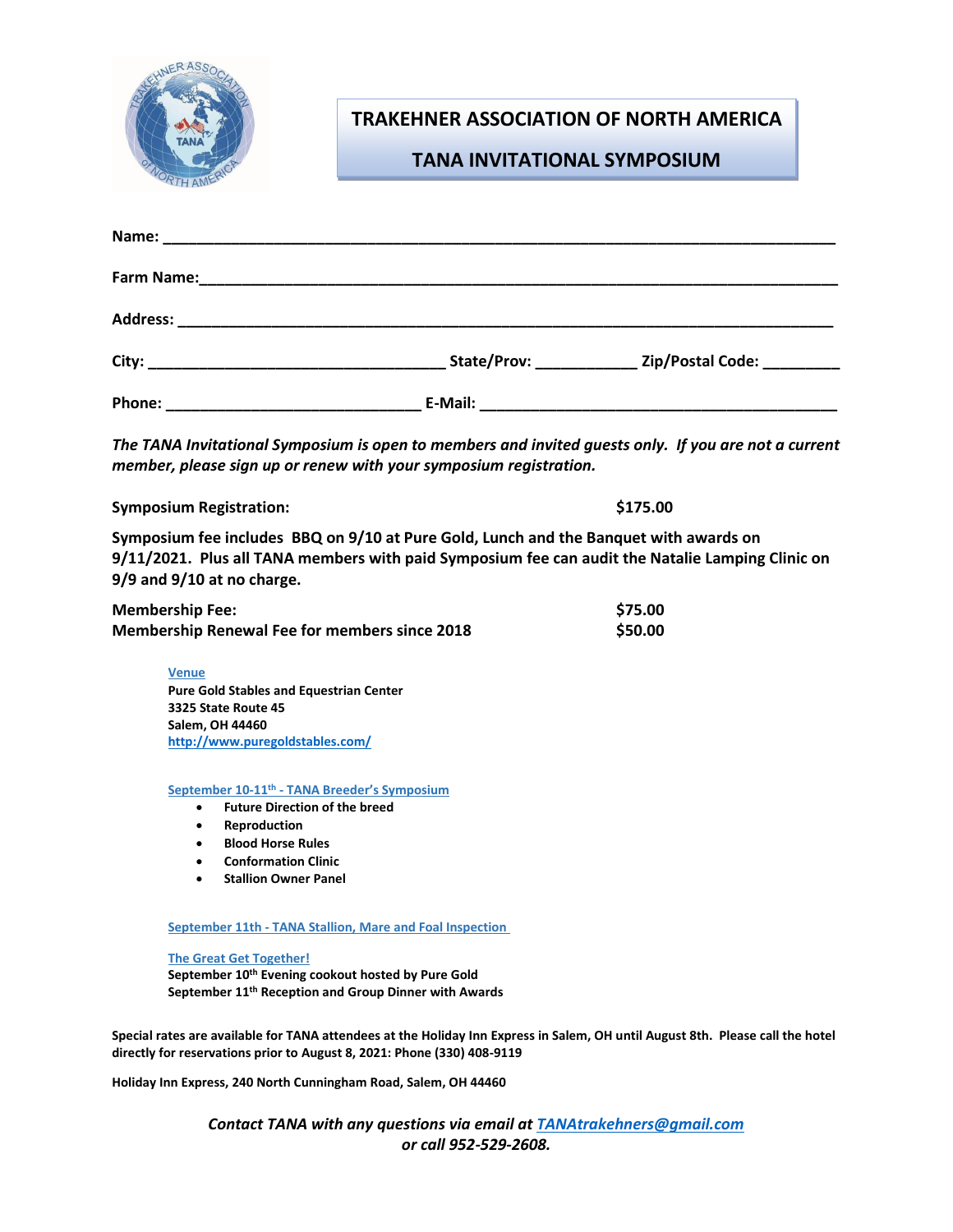

# **TRAKEHNER ASSOCIATION OF NORTH AMERICA**

### **TANA INVITATIONAL SYMPOSIUM**

| Farm Name:      |         |                                                                 |
|-----------------|---------|-----------------------------------------------------------------|
| <b>Address:</b> |         |                                                                 |
| City:           |         | Zip/Postal Code:                                                |
| Phone:          | E-Mail: | <u> 1989 - Johann John Stein, markin am Francisco (f. 1989)</u> |

*The TANA Invitational Symposium is open to members and invited guests only. If you are not a current member, please sign up or renew with your symposium registration.*

**Symposium Registration: \$175.00** 

**Symposium fee includes BBQ on 9/10 at Pure Gold, Lunch and the Banquet with awards on 9/11/2021. Plus all TANA members with paid Symposium fee can audit the Natalie Lamping Clinic on 9/9 and 9/10 at no charge.**

| <b>Membership Fee:</b>                               | \$75.00 |
|------------------------------------------------------|---------|
| <b>Membership Renewal Fee for members since 2018</b> | \$50.00 |

**Venue Pure Gold Stables and Equestrian Center 3325 State Route 45 Salem, OH 44460 <http://www.puregoldstables.com/>**

#### **September 10-11th - TANA Breeder's Symposium**

- **Future Direction of the breed**
- **Reproduction**
- **Blood Horse Rules**
- **Conformation Clinic**
- **Stallion Owner Panel**

**September 11th - TANA Stallion, Mare and Foal Inspection**

#### **The Great Get Together!**

**September 10th Evening cookout hosted by Pure Gold September 11th Reception and Group Dinner with Awards**

**Special rates are available for TANA attendees at the Holiday Inn Express in Salem, OH until August 8th. Please call the hotel directly for reservations prior to August 8, 2021: Phone [\(330\) 408-9119](tel:3304089119)**

**Holiday Inn Express[, 240 North Cunningham Road, Salem, OH 44460](https://www.bing.com/local?lid=YN873x15340516476801118417&id=YN873x15340516476801118417&q=Holiday+Inn+Express+Salem%2c+an+IHG+Hotel&name=Holiday+Inn+Express+Salem%2c+an+IHG+Hotel&cp=40.90241241455078%7e-80.81950378417969&ppois=40.90241241455078_-80.81950378417969_Holiday+Inn+Express+Salem%2c+an+IHG+Hotel)**

*Contact TANA with any questions via email at [TANAtrakehners@gmail.com](mailto:TANAtrakehners@gmail.com) or call 952-529-2608.*